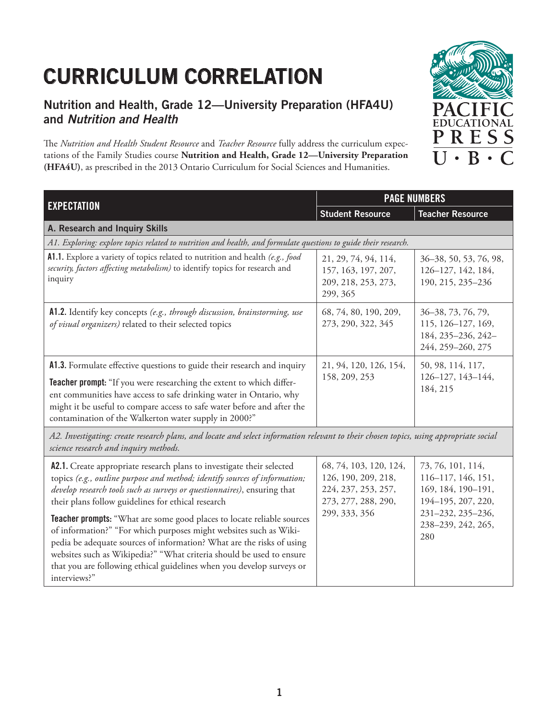## **CURRICULUM CORRELATION**

## **Nutrition and Health, Grade 12—University Preparation (HFA4U) and Nutrition and Health**

The Nutrition and Health Student Resource and *Teacher Resource* fully address the curriculum expectations of the Family Studies course **Nutrition and Health, Grade 12—University Preparation (HFA4U)**, as prescribed in the 2013 Ontario Curriculum for Social Sciences and Humanities.



194–195, 207, 220, 231–232, 235–236, 238–239, 242, 265,

280

| <b>EXPECTATION</b>                                                                                                                                                                                                                                                                                                                                        | <b>PAGE NUMBERS</b>                                                            |                                                                                     |
|-----------------------------------------------------------------------------------------------------------------------------------------------------------------------------------------------------------------------------------------------------------------------------------------------------------------------------------------------------------|--------------------------------------------------------------------------------|-------------------------------------------------------------------------------------|
|                                                                                                                                                                                                                                                                                                                                                           | <b>Student Resource</b>                                                        | <b>Teacher Resource</b>                                                             |
| A. Research and Inquiry Skills                                                                                                                                                                                                                                                                                                                            |                                                                                |                                                                                     |
| A1. Exploring: explore topics related to nutrition and health, and formulate questions to guide their research.                                                                                                                                                                                                                                           |                                                                                |                                                                                     |
| A1.1. Explore a variety of topics related to nutrition and health (e.g., food<br>security, factors affecting metabolism) to identify topics for research and<br>inquiry                                                                                                                                                                                   | 21, 29, 74, 94, 114,<br>157, 163, 197, 207,<br>209, 218, 253, 273,<br>299, 365 | 36-38, 50, 53, 76, 98,<br>126-127, 142, 184,<br>190, 215, 235-236                   |
| A1.2. Identify key concepts (e.g., through discussion, brainstorming, use<br>of visual organizers) related to their selected topics                                                                                                                                                                                                                       | 68, 74, 80, 190, 209,<br>273, 290, 322, 345                                    | 36-38, 73, 76, 79,<br>115, 126-127, 169,<br>184, 235-236, 242-<br>244, 259-260, 275 |
| A1.3. Formulate effective questions to guide their research and inquiry<br>Teacher prompt: "If you were researching the extent to which differ-<br>ent communities have access to safe drinking water in Ontario, why<br>might it be useful to compare access to safe water before and after the<br>contamination of the Walkerton water supply in 2000?" | 21, 94, 120, 126, 154,<br>158, 209, 253                                        | 50, 98, 114, 117,<br>126-127, 143-144,<br>184, 215                                  |
| A2. Investigating: create research plans, and locate and select information relevant to their chosen topics, using appropriate social<br>science research and inquiry methods.                                                                                                                                                                            |                                                                                |                                                                                     |
| A2.1. Create appropriate research plans to investigate their selected<br>topics (e.g., outline purpose and method; identify sources of information;<br>develop research tools such as surveys or questionnaires), ensuring that                                                                                                                           | 68, 74, 103, 120, 124,<br>126, 190, 209, 218,<br>224, 237, 253, 257,           | 73, 76, 101, 114,<br>116-117, 146, 151,<br>169, 184, 190-191,                       |

273, 277, 288, 290,

**Teacher prompts:** "What are some good places to locate reliable sources of information?" "For which purposes might websites such as Wikipedia be adequate sources of information? What are the risks of using websites such as Wikipedia?" "What criteria should be used to ensure that you are following ethical guidelines when you develop surveys or interviews?" 299, 333, 356

their plans follow guidelines for ethical research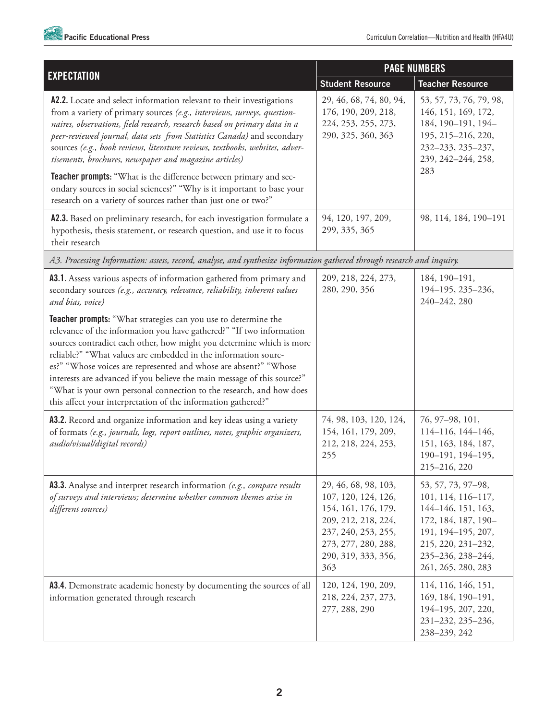

| <b>EXPECTATION</b>                                                                                                                                                                                                                                                                                                                                                                                                                                                                                                                                                      | <b>PAGE NUMBERS</b>                                                                                                                                                   |                                                                                                                                                                              |
|-------------------------------------------------------------------------------------------------------------------------------------------------------------------------------------------------------------------------------------------------------------------------------------------------------------------------------------------------------------------------------------------------------------------------------------------------------------------------------------------------------------------------------------------------------------------------|-----------------------------------------------------------------------------------------------------------------------------------------------------------------------|------------------------------------------------------------------------------------------------------------------------------------------------------------------------------|
|                                                                                                                                                                                                                                                                                                                                                                                                                                                                                                                                                                         | <b>Student Resource</b>                                                                                                                                               | <b>Teacher Resource</b>                                                                                                                                                      |
| A2.2. Locate and select information relevant to their investigations<br>from a variety of primary sources (e.g., interviews, surveys, question-<br>naires, observations, field research, research based on primary data in a<br>peer-reviewed journal, data sets from Statistics Canada) and secondary<br>sources (e.g., book reviews, literature reviews, textbooks, websites, adver-<br>tisements, brochures, newspaper and magazine articles)                                                                                                                        | 29, 46, 68, 74, 80, 94,<br>176, 190, 209, 218,<br>224, 253, 255, 273,<br>290, 325, 360, 363                                                                           | 53, 57, 73, 76, 79, 98,<br>146, 151, 169, 172,<br>184, 190-191, 194-<br>195, 215-216, 220,<br>232-233, 235-237,<br>239, 242-244, 258,                                        |
| Teacher prompts: "What is the difference between primary and sec-<br>ondary sources in social sciences?" "Why is it important to base your<br>research on a variety of sources rather than just one or two?"                                                                                                                                                                                                                                                                                                                                                            |                                                                                                                                                                       | 283                                                                                                                                                                          |
| A2.3. Based on preliminary research, for each investigation formulate a<br>hypothesis, thesis statement, or research question, and use it to focus<br>their research                                                                                                                                                                                                                                                                                                                                                                                                    | 94, 120, 197, 209,<br>299, 335, 365                                                                                                                                   | 98, 114, 184, 190-191                                                                                                                                                        |
| A3. Processing Information: assess, record, analyse, and synthesize information gathered through research and inquiry.                                                                                                                                                                                                                                                                                                                                                                                                                                                  |                                                                                                                                                                       |                                                                                                                                                                              |
| A3.1. Assess various aspects of information gathered from primary and<br>secondary sources (e.g., accuracy, relevance, reliability, inherent values<br>and bias, voice)                                                                                                                                                                                                                                                                                                                                                                                                 | 209, 218, 224, 273,<br>280, 290, 356                                                                                                                                  | 184, 190-191,<br>194-195, 235-236,<br>240-242, 280                                                                                                                           |
| Teacher prompts: "What strategies can you use to determine the<br>relevance of the information you have gathered?" "If two information<br>sources contradict each other, how might you determine which is more<br>reliable?" "What values are embedded in the information sourc-<br>es?" "Whose voices are represented and whose are absent?" "Whose<br>interests are advanced if you believe the main message of this source?"<br>"What is your own personal connection to the research, and how does<br>this affect your interpretation of the information gathered?" |                                                                                                                                                                       |                                                                                                                                                                              |
| A3.2. Record and organize information and key ideas using a variety<br>of formats (e.g., journals, logs, report outlines, notes, graphic organizers,<br>audio/visual/digital records)                                                                                                                                                                                                                                                                                                                                                                                   | 74, 98, 103, 120, 124,<br>154, 161, 179, 209,<br>212, 218, 224, 253,<br>255                                                                                           | 76, 97-98, 101,<br>114-116, 144-146,<br>151, 163, 184, 187,<br>190-191, 194-195,<br>215-216, 220                                                                             |
| <b>A3.3.</b> Analyse and interpret research information (e.g., compare results<br>of surveys and interviews; determine whether common themes arise in<br>different sources)                                                                                                                                                                                                                                                                                                                                                                                             | 29, 46, 68, 98, 103,<br>107, 120, 124, 126,<br>154, 161, 176, 179,<br>209, 212, 218, 224,<br>237, 240, 253, 255,<br>273, 277, 280, 288,<br>290, 319, 333, 356,<br>363 | 53, 57, 73, 97-98,<br>101, 114, 116–117,<br>144-146, 151, 163,<br>172, 184, 187, 190-<br>191, 194-195, 207,<br>215, 220, 231-232,<br>235-236, 238-244,<br>261, 265, 280, 283 |
| A3.4. Demonstrate academic honesty by documenting the sources of all<br>information generated through research                                                                                                                                                                                                                                                                                                                                                                                                                                                          | 120, 124, 190, 209,<br>218, 224, 237, 273,<br>277, 288, 290                                                                                                           | 114, 116, 146, 151,<br>169, 184, 190-191,<br>194-195, 207, 220,<br>231-232, 235-236,<br>238-239, 242                                                                         |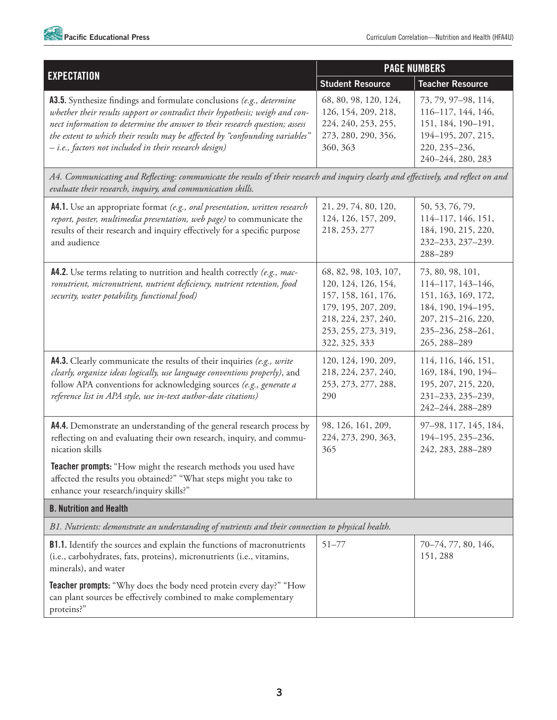

|                                                                                                                                                                                                                                                                                                                                                                               | <b>PAGE NUMBERS</b>                                                                                                                                       |                                                                                                                                               |
|-------------------------------------------------------------------------------------------------------------------------------------------------------------------------------------------------------------------------------------------------------------------------------------------------------------------------------------------------------------------------------|-----------------------------------------------------------------------------------------------------------------------------------------------------------|-----------------------------------------------------------------------------------------------------------------------------------------------|
| <b>EXPECTATION</b>                                                                                                                                                                                                                                                                                                                                                            | <b>Student Resource</b>                                                                                                                                   | <b>Teacher Resource</b>                                                                                                                       |
| A3.5. Synthesize findings and formulate conclusions (e.g., determine<br>whether their results support or contradict their hypothesis; weigh and con-<br>nect information to determine the answer to their research question; assess<br>the extent to which their results may be affected by "confounding variables"<br>- i.e., factors not included in their research design) | 68, 80, 98, 120, 124,<br>126, 154, 209, 218,<br>224, 240, 253, 255,<br>273, 280, 290, 356,<br>360, 363                                                    | 73, 79, 97-98, 114,<br>116-117, 144, 146,<br>151, 184, 190-191,<br>194-195, 207, 215,<br>220, 235-236,<br>240-244, 280, 283                   |
| A4. Communicating and Reflecting: communicate the results of their research and inquiry clearly and effectively, and reflect on and<br>evaluate their research, inquiry, and communication skills.                                                                                                                                                                            |                                                                                                                                                           |                                                                                                                                               |
| A4.1. Use an appropriate format (e.g., oral presentation, written research<br>report, poster, multimedia presentation, web page) to communicate the<br>results of their research and inquiry effectively for a specific purpose<br>and audience                                                                                                                               | 21, 29, 74, 80, 120,<br>124, 126, 157, 209,<br>218, 253, 277                                                                                              | 50, 53, 76, 79,<br>114-117, 146, 151,<br>184, 190, 215, 220,<br>232-233, 237-239.<br>288-289                                                  |
| A4.2. Use terms relating to nutrition and health correctly (e.g., mac-<br>ronutrient, micronutrient, nutrient deficiency, nutrient retention, food<br>security, water potability, functional food)                                                                                                                                                                            | 68, 82, 98, 103, 107,<br>120, 124, 126, 154,<br>157, 158, 161, 176,<br>179, 195, 207, 209,<br>218, 224, 237, 240,<br>253, 255, 273, 319,<br>322, 325, 333 | 73, 80, 98, 101,<br>114-117, 143-146,<br>151, 163, 169, 172,<br>184, 190, 194-195,<br>207, 215-216, 220,<br>235-236, 258-261,<br>265, 288-289 |
| <b>A4.3.</b> Clearly communicate the results of their inquiries (e.g., write<br>clearly, organize ideas logically, use language conventions properly), and<br>follow APA conventions for acknowledging sources (e.g., generate a<br>reference list in APA style, use in-text author-date citations)                                                                           | 120, 124, 190, 209,<br>218, 224, 237, 240,<br>253, 273, 277, 288,<br>290                                                                                  | 114, 116, 146, 151,<br>169, 184, 190, 194-<br>195, 207, 215, 220,<br>231-233, 235-239,<br>242-244, 288-289                                    |
| A4.4. Demonstrate an understanding of the general research process by<br>reflecting on and evaluating their own research, inquiry, and commu-<br>nication skills                                                                                                                                                                                                              | 98, 126, 161, 209,<br>224, 273, 290, 363,<br>365                                                                                                          | 97-98, 117, 145, 184,<br>194-195, 235-236,<br>242, 283, 288-289                                                                               |
| Teacher prompts: "How might the research methods you used have<br>affected the results you obtained?" "What steps might you take to<br>enhance your research/inquiry skills?"                                                                                                                                                                                                 |                                                                                                                                                           |                                                                                                                                               |
| <b>B. Nutrition and Health</b>                                                                                                                                                                                                                                                                                                                                                |                                                                                                                                                           |                                                                                                                                               |
| B1. Nutrients: demonstrate an understanding of nutrients and their connection to physical health.                                                                                                                                                                                                                                                                             |                                                                                                                                                           |                                                                                                                                               |
| B1.1. Identify the sources and explain the functions of macronutrients<br>(i.e., carbohydrates, fats, proteins), micronutrients (i.e., vitamins,<br>minerals), and water                                                                                                                                                                                                      | $51 - 77$                                                                                                                                                 | 70-74, 77, 80, 146,<br>151, 288                                                                                                               |
| <b>Teacher prompts:</b> "Why does the body need protein every day?" "How<br>can plant sources be effectively combined to make complementary<br>proteins?"                                                                                                                                                                                                                     |                                                                                                                                                           |                                                                                                                                               |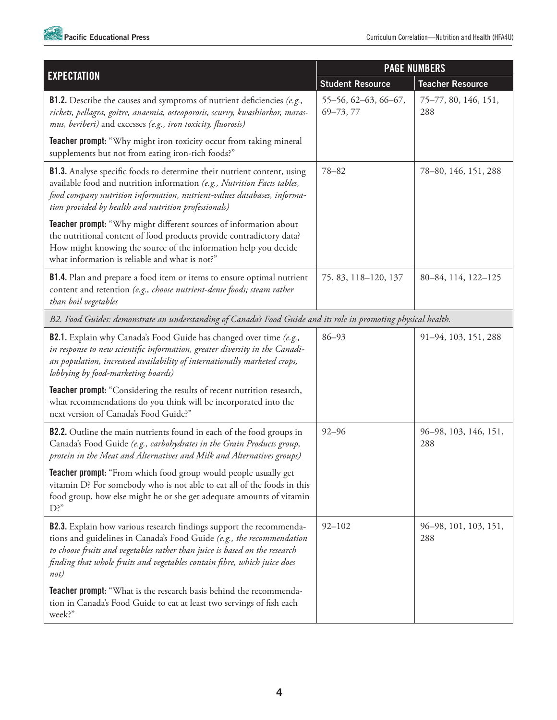

|                                                                                                                                                                                                                                                                                                                | <b>PAGE NUMBERS</b>                   |                              |
|----------------------------------------------------------------------------------------------------------------------------------------------------------------------------------------------------------------------------------------------------------------------------------------------------------------|---------------------------------------|------------------------------|
| <b>EXPECTATION</b>                                                                                                                                                                                                                                                                                             | <b>Student Resource</b>               | <b>Teacher Resource</b>      |
| <b>B1.2.</b> Describe the causes and symptoms of nutrient deficiencies (e.g.,<br>rickets, pellagra, goitre, anaemia, osteoporosis, scurvy, kwashiorkor, maras-<br>mus, beriberi) and excesses (e.g., iron toxicity, fluorosis)                                                                                 | 55-56, 62-63, 66-67,<br>$69 - 73, 77$ | 75-77, 80, 146, 151,<br>288  |
| <b>Teacher prompt:</b> "Why might iron toxicity occur from taking mineral<br>supplements but not from eating iron-rich foods?"                                                                                                                                                                                 |                                       |                              |
| B1.3. Analyse specific foods to determine their nutrient content, using<br>available food and nutrition information (e.g., Nutrition Facts tables,<br>food company nutrition information, nutrient-values databases, informa-<br>tion provided by health and nutrition professionals)                          | $78 - 82$                             | 78-80, 146, 151, 288         |
| Teacher prompt: "Why might different sources of information about<br>the nutritional content of food products provide contradictory data?<br>How might knowing the source of the information help you decide<br>what information is reliable and what is not?"                                                 |                                       |                              |
| B1.4. Plan and prepare a food item or items to ensure optimal nutrient<br>content and retention (e.g., choose nutrient-dense foods; steam rather<br>than boil vegetables                                                                                                                                       | 75, 83, 118-120, 137                  | 80-84, 114, 122-125          |
| B2. Food Guides: demonstrate an understanding of Canada's Food Guide and its role in promoting physical health.                                                                                                                                                                                                |                                       |                              |
| B2.1. Explain why Canada's Food Guide has changed over time (e.g.,<br>in response to new scientific information, greater diversity in the Canadi-<br>an population, increased availability of internationally marketed crops,<br>lobbying by food-marketing boards)                                            | $86 - 93$                             | 91-94, 103, 151, 288         |
| Teacher prompt: "Considering the results of recent nutrition research,<br>what recommendations do you think will be incorporated into the<br>next version of Canada's Food Guide?"                                                                                                                             |                                       |                              |
| <b>B2.2.</b> Outline the main nutrients found in each of the food groups in<br>Canada's Food Guide (e.g., carbohydrates in the Grain Products group,<br>protein in the Meat and Alternatives and Milk and Alternatives groups)                                                                                 | $92 - 96$                             | 96-98, 103, 146, 151,<br>288 |
| <b>Teacher prompt:</b> "From which food group would people usually get<br>vitamin D? For somebody who is not able to eat all of the foods in this<br>food group, how else might he or she get adequate amounts of vitamin<br>$D$ ?"                                                                            |                                       |                              |
| B2.3. Explain how various research findings support the recommenda-<br>tions and guidelines in Canada's Food Guide (e.g., the recommendation<br>to choose fruits and vegetables rather than juice is based on the research<br>finding that whole fruits and vegetables contain fibre, which juice does<br>not) | $92 - 102$                            | 96–98, 101, 103, 151,<br>288 |
| <b>Teacher prompt:</b> "What is the research basis behind the recommenda-<br>tion in Canada's Food Guide to eat at least two servings of fish each<br>week?"                                                                                                                                                   |                                       |                              |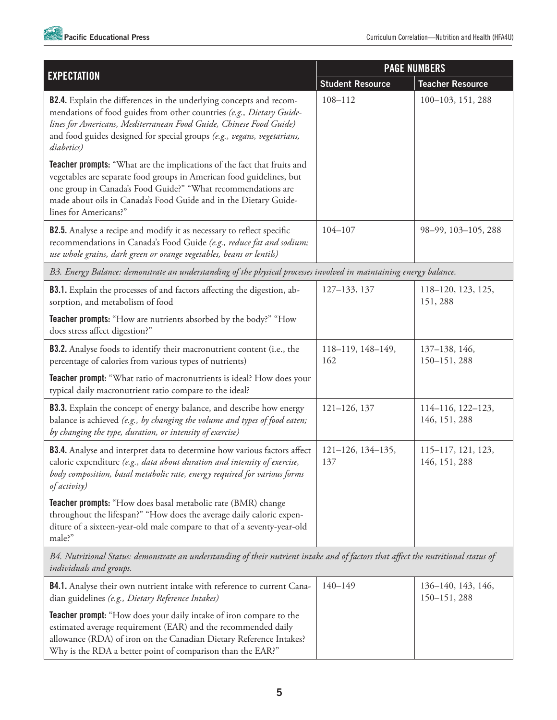

|                                                                                                                                                                                                                                                                                                                   | <b>PAGE NUMBERS</b>      |                                     |
|-------------------------------------------------------------------------------------------------------------------------------------------------------------------------------------------------------------------------------------------------------------------------------------------------------------------|--------------------------|-------------------------------------|
| <b>EXPECTATION</b>                                                                                                                                                                                                                                                                                                | <b>Student Resource</b>  | <b>Teacher Resource</b>             |
| <b>B2.4.</b> Explain the differences in the underlying concepts and recom-<br>mendations of food guides from other countries (e.g., Dietary Guide-<br>lines for Americans, Mediterranean Food Guide, Chinese Food Guide)<br>and food guides designed for special groups (e.g., vegans, vegetarians,<br>diabetics) | 108-112                  | 100-103, 151, 288                   |
| Teacher prompts: "What are the implications of the fact that fruits and<br>vegetables are separate food groups in American food guidelines, but<br>one group in Canada's Food Guide?" "What recommendations are<br>made about oils in Canada's Food Guide and in the Dietary Guide-<br>lines for Americans?"      |                          |                                     |
| <b>B2.5.</b> Analyse a recipe and modify it as necessary to reflect specific<br>recommendations in Canada's Food Guide (e.g., reduce fat and sodium;<br>use whole grains, dark green or orange vegetables, beans or lentils)                                                                                      | 104-107                  | 98-99, 103-105, 288                 |
| B3. Energy Balance: demonstrate an understanding of the physical processes involved in maintaining energy balance.                                                                                                                                                                                                |                          |                                     |
| <b>B3.1.</b> Explain the processes of and factors affecting the digestion, ab-<br>sorption, and metabolism of food                                                                                                                                                                                                | 127-133, 137             | 118-120, 123, 125,<br>151, 288      |
| <b>Teacher prompts:</b> "How are nutrients absorbed by the body?" "How<br>does stress affect digestion?"                                                                                                                                                                                                          |                          |                                     |
| <b>B3.2.</b> Analyse foods to identify their macronutrient content (i.e., the<br>percentage of calories from various types of nutrients)                                                                                                                                                                          | 118-119, 148-149,<br>162 | 137-138, 146,<br>150-151, 288       |
| Teacher prompt: "What ratio of macronutrients is ideal? How does your<br>typical daily macronutrient ratio compare to the ideal?                                                                                                                                                                                  |                          |                                     |
| <b>B3.3.</b> Explain the concept of energy balance, and describe how energy<br>balance is achieved (e.g., by changing the volume and types of food eaten;<br>by changing the type, duration, or intensity of exercise)                                                                                            | $121 - 126, 137$         | 114-116, 122-123,<br>146, 151, 288  |
| <b>B3.4.</b> Analyse and interpret data to determine how various factors affect<br>calorie expenditure (e.g., data about duration and intensity of exercise,<br>body composition, basal metabolic rate, energy required for various forms<br>of activity)                                                         | 121-126, 134-135,<br>137 | 115-117, 121, 123,<br>146, 151, 288 |
| Teacher prompts: "How does basal metabolic rate (BMR) change<br>throughout the lifespan?" "How does the average daily caloric expen-<br>diture of a sixteen-year-old male compare to that of a seventy-year-old<br>male?"                                                                                         |                          |                                     |
| B4. Nutritional Status: demonstrate an understanding of their nutrient intake and of factors that affect the nutritional status of<br>individuals and groups.                                                                                                                                                     |                          |                                     |
| B4.1. Analyse their own nutrient intake with reference to current Cana-                                                                                                                                                                                                                                           | $140 - 149$              | 136-140, 143, 146,                  |

| <b>D4.1.</b> Analyse their own nutrient intake with reference to current Cana-                                                                                                                                                                                                 | 140-149 | 190–140, 149, 140, |
|--------------------------------------------------------------------------------------------------------------------------------------------------------------------------------------------------------------------------------------------------------------------------------|---------|--------------------|
| dian guidelines (e.g., Dietary Reference Intakes)                                                                                                                                                                                                                              |         | $150 - 151, 288$   |
| <b>Teacher prompt:</b> "How does your daily intake of iron compare to the<br>estimated average requirement (EAR) and the recommended daily<br>allowance (RDA) of iron on the Canadian Dietary Reference Intakes?<br>Why is the RDA a better point of comparison than the EAR?" |         |                    |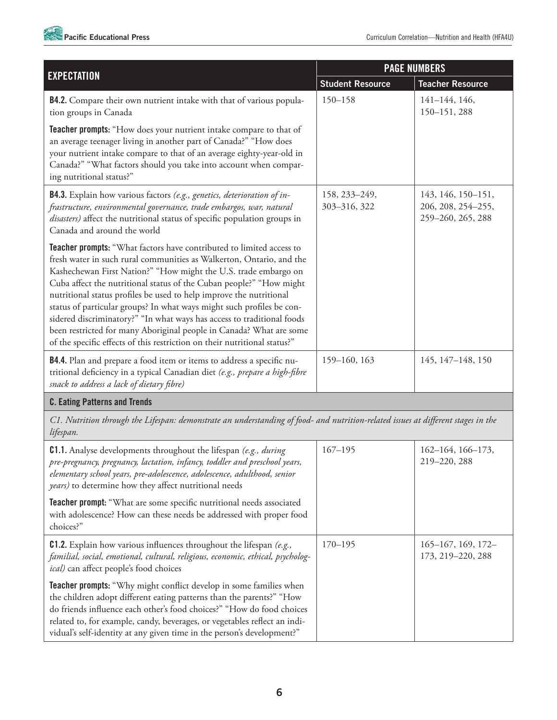

|                                                                                                                                                                                                                                                                                                                                                                                                                                                                                                                                                                                                                                                                      | <b>PAGE NUMBERS</b>           |                                                               |
|----------------------------------------------------------------------------------------------------------------------------------------------------------------------------------------------------------------------------------------------------------------------------------------------------------------------------------------------------------------------------------------------------------------------------------------------------------------------------------------------------------------------------------------------------------------------------------------------------------------------------------------------------------------------|-------------------------------|---------------------------------------------------------------|
| <b>EXPECTATION</b>                                                                                                                                                                                                                                                                                                                                                                                                                                                                                                                                                                                                                                                   | <b>Student Resource</b>       | <b>Teacher Resource</b>                                       |
| <b>B4.2.</b> Compare their own nutrient intake with that of various popula-<br>tion groups in Canada                                                                                                                                                                                                                                                                                                                                                                                                                                                                                                                                                                 | $150 - 158$                   | $141 - 144$ , 146,<br>150-151, 288                            |
| Teacher prompts: "How does your nutrient intake compare to that of<br>an average teenager living in another part of Canada?" "How does<br>your nutrient intake compare to that of an average eighty-year-old in<br>Canada?" "What factors should you take into account when compar-<br>ing nutritional status?"                                                                                                                                                                                                                                                                                                                                                      |                               |                                                               |
| B4.3. Explain how various factors (e.g., genetics, deterioration of in-<br>frastructure, environmental governance, trade embargos, war, natural<br>disasters) affect the nutritional status of specific population groups in<br>Canada and around the world                                                                                                                                                                                                                                                                                                                                                                                                          | 158, 233-249,<br>303-316, 322 | 143, 146, 150-151,<br>206, 208, 254-255,<br>259-260, 265, 288 |
| Teacher prompts: "What factors have contributed to limited access to<br>fresh water in such rural communities as Walkerton, Ontario, and the<br>Kashechewan First Nation?" "How might the U.S. trade embargo on<br>Cuba affect the nutritional status of the Cuban people?" "How might<br>nutritional status profiles be used to help improve the nutritional<br>status of particular groups? In what ways might such profiles be con-<br>sidered discriminatory?" "In what ways has access to traditional foods<br>been restricted for many Aboriginal people in Canada? What are some<br>of the specific effects of this restriction on their nutritional status?" |                               |                                                               |
| B4.4. Plan and prepare a food item or items to address a specific nu-<br>tritional deficiency in a typical Canadian diet (e.g., prepare a high-fibre<br>snack to address a lack of dietary fibre)                                                                                                                                                                                                                                                                                                                                                                                                                                                                    | 159-160, 163                  | 145, 147-148, 150                                             |
| <b>C. Eating Patterns and Trends</b>                                                                                                                                                                                                                                                                                                                                                                                                                                                                                                                                                                                                                                 |                               |                                                               |
| C1. Nutrition through the Lifespan: demonstrate an understanding of food- and nutrition-related issues at different stages in the<br>lifespan.                                                                                                                                                                                                                                                                                                                                                                                                                                                                                                                       |                               |                                                               |
| <b>C1.1.</b> Analyse developments throughout the lifespan (e.g., during<br>pre-pregnancy, pregnancy, lactation, infancy, toddler and preschool years,<br>elementary school years, pre-adolescence, adolescence, adulthood, senior<br>years) to determine how they affect nutritional needs                                                                                                                                                                                                                                                                                                                                                                           | $167 - 195$                   | 162-164, 166-173,<br>219-220, 288                             |
| <b>Teacher prompt:</b> "What are some specific nutritional needs associated<br>with adolescence? How can these needs be addressed with proper food<br>choices?"                                                                                                                                                                                                                                                                                                                                                                                                                                                                                                      |                               |                                                               |
| $C1.2$ . Explain how various influences throughout the lifespan (e.g.,<br>familial, social, emotional, cultural, religious, economic, ethical, psycholog-<br>ical) can affect people's food choices                                                                                                                                                                                                                                                                                                                                                                                                                                                                  | $170 - 195$                   | $165 - 167$ , 169, 172-<br>173, 219-220, 288                  |
| Teacher prompts: "Why might conflict develop in some families when<br>the children adopt different eating patterns than the parents?" "How<br>do friends influence each other's food choices?" "How do food choices<br>related to, for example, candy, beverages, or vegetables reflect an indi-<br>vidual's self-identity at any given time in the person's development?"                                                                                                                                                                                                                                                                                           |                               |                                                               |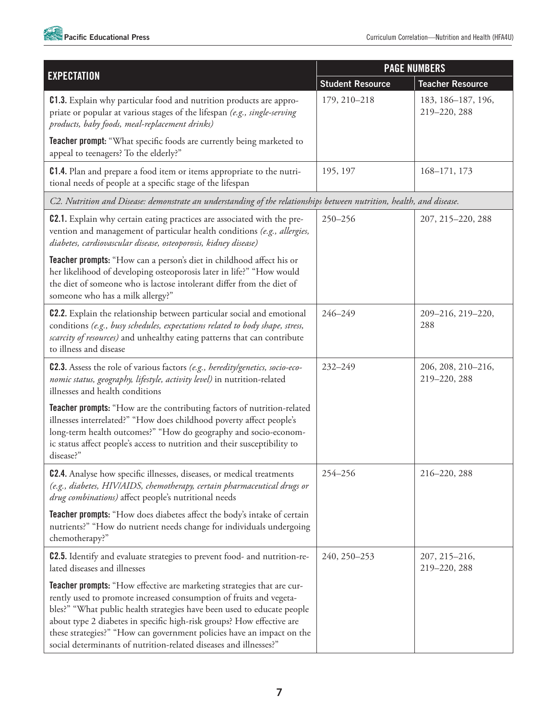

|                                                                                                                                                                                                                                                                                                                                                                                                                                               | <b>PAGE NUMBERS</b>     |                                    |
|-----------------------------------------------------------------------------------------------------------------------------------------------------------------------------------------------------------------------------------------------------------------------------------------------------------------------------------------------------------------------------------------------------------------------------------------------|-------------------------|------------------------------------|
| <b>EXPECTATION</b>                                                                                                                                                                                                                                                                                                                                                                                                                            | <b>Student Resource</b> | <b>Teacher Resource</b>            |
| <b>C1.3.</b> Explain why particular food and nutrition products are appro-<br>priate or popular at various stages of the lifespan (e.g., single-serving<br>products, baby foods, meal-replacement drinks)                                                                                                                                                                                                                                     | 179, 210-218            | 183, 186-187, 196,<br>219-220, 288 |
| <b>Teacher prompt:</b> "What specific foods are currently being marketed to<br>appeal to teenagers? To the elderly?"                                                                                                                                                                                                                                                                                                                          |                         |                                    |
| <b>C1.4.</b> Plan and prepare a food item or items appropriate to the nutri-<br>tional needs of people at a specific stage of the lifespan                                                                                                                                                                                                                                                                                                    | 195, 197                | 168-171, 173                       |
| C2. Nutrition and Disease: demonstrate an understanding of the relationships between nutrition, health, and disease.                                                                                                                                                                                                                                                                                                                          |                         |                                    |
| <b>C2.1.</b> Explain why certain eating practices are associated with the pre-<br>vention and management of particular health conditions (e.g., allergies,<br>diabetes, cardiovascular disease, osteoporosis, kidney disease)                                                                                                                                                                                                                 | 250-256                 | 207, 215-220, 288                  |
| Teacher prompts: "How can a person's diet in childhood affect his or<br>her likelihood of developing osteoporosis later in life?" "How would<br>the diet of someone who is lactose intolerant differ from the diet of<br>someone who has a milk allergy?"                                                                                                                                                                                     |                         |                                    |
| <b>C2.2.</b> Explain the relationship between particular social and emotional<br>conditions (e.g., busy schedules, expectations related to body shape, stress,<br>scarcity of resources) and unhealthy eating patterns that can contribute<br>to illness and disease                                                                                                                                                                          | 246-249                 | 209-216, 219-220,<br>288           |
| <b>C2.3.</b> Assess the role of various factors (e.g., heredity/genetics, socio-eco-<br>nomic status, geography, lifestyle, activity level) in nutrition-related<br>illnesses and health conditions                                                                                                                                                                                                                                           | $232 - 249$             | 206, 208, 210-216,<br>219-220, 288 |
| Teacher prompts: "How are the contributing factors of nutrition-related<br>illnesses interrelated?" "How does childhood poverty affect people's<br>long-term health outcomes?" "How do geography and socio-econom-<br>ic status affect people's access to nutrition and their susceptibility to<br>disease?"                                                                                                                                  |                         |                                    |
| <b>C2.4.</b> Analyse how specific illnesses, diseases, or medical treatments<br>(e.g., diabetes, HIV/AIDS, chemotherapy, certain pharmaceutical drugs or<br>drug combinations) affect people's nutritional needs                                                                                                                                                                                                                              | 254-256                 | 216-220, 288                       |
| <b>Teacher prompts:</b> "How does diabetes affect the body's intake of certain<br>nutrients?" "How do nutrient needs change for individuals undergoing<br>chemotherapy?"                                                                                                                                                                                                                                                                      |                         |                                    |
| <b>C2.5.</b> Identify and evaluate strategies to prevent food- and nutrition-re-<br>lated diseases and illnesses                                                                                                                                                                                                                                                                                                                              | 240, 250-253            | 207, 215-216,<br>219-220, 288      |
| Teacher prompts: "How effective are marketing strategies that are cur-<br>rently used to promote increased consumption of fruits and vegeta-<br>bles?" "What public health strategies have been used to educate people<br>about type 2 diabetes in specific high-risk groups? How effective are<br>these strategies?" "How can government policies have an impact on the<br>social determinants of nutrition-related diseases and illnesses?" |                         |                                    |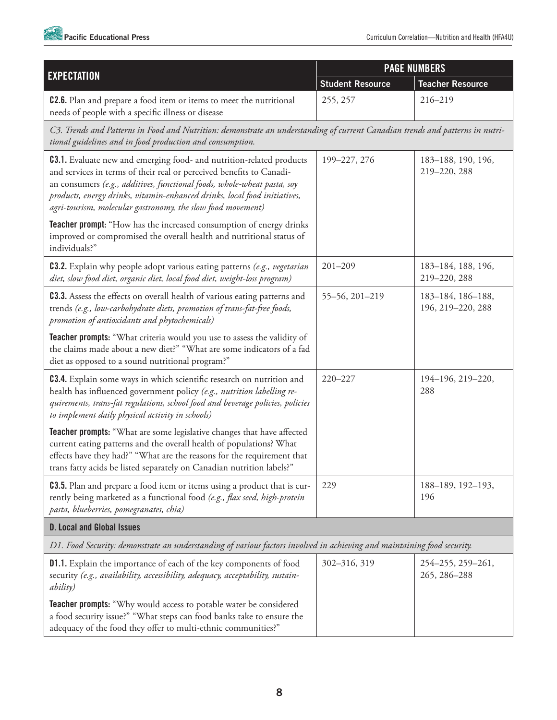

|                                                                                                                                                                                                                                                                                                                                                                            | <b>PAGE NUMBERS</b>     |                                        |
|----------------------------------------------------------------------------------------------------------------------------------------------------------------------------------------------------------------------------------------------------------------------------------------------------------------------------------------------------------------------------|-------------------------|----------------------------------------|
| <b>EXPECTATION</b>                                                                                                                                                                                                                                                                                                                                                         | <b>Student Resource</b> | <b>Teacher Resource</b>                |
| <b>C2.6.</b> Plan and prepare a food item or items to meet the nutritional<br>needs of people with a specific illness or disease                                                                                                                                                                                                                                           | 255, 257                | 216-219                                |
| C3. Trends and Patterns in Food and Nutrition: demonstrate an understanding of current Canadian trends and patterns in nutri-<br>tional guidelines and in food production and consumption.                                                                                                                                                                                 |                         |                                        |
| <b>C3.1.</b> Evaluate new and emerging food- and nutrition-related products<br>and services in terms of their real or perceived benefits to Canadi-<br>an consumers (e.g., additives, functional foods, whole-wheat pasta, soy<br>products, energy drinks, vitamin-enhanced drinks, local food initiatives,<br>agri-tourism, molecular gastronomy, the slow food movement) | 199-227, 276            | 183-188, 190, 196,<br>219-220, 288     |
| Teacher prompt: "How has the increased consumption of energy drinks<br>improved or compromised the overall health and nutritional status of<br>individuals?"                                                                                                                                                                                                               |                         |                                        |
| <b>C3.2.</b> Explain why people adopt various eating patterns (e.g., vegetarian<br>diet, slow food diet, organic diet, local food diet, weight-loss program)                                                                                                                                                                                                               | $201 - 209$             | 183-184, 188, 196,<br>219-220, 288     |
| <b>C3.3.</b> Assess the effects on overall health of various eating patterns and<br>trends (e.g., low-carbohydrate diets, promotion of trans-fat-free foods,<br>promotion of antioxidants and phytochemicals)                                                                                                                                                              | 55-56, 201-219          | 183-184, 186-188,<br>196, 219-220, 288 |
| Teacher prompts: "What criteria would you use to assess the validity of<br>the claims made about a new diet?" "What are some indicators of a fad<br>diet as opposed to a sound nutritional program?"                                                                                                                                                                       |                         |                                        |
| <b>C3.4.</b> Explain some ways in which scientific research on nutrition and<br>health has influenced government policy (e.g., nutrition labelling re-<br>quirements, trans-fat regulations, school food and beverage policies, policies<br>to implement daily physical activity in schools)                                                                               | 220-227                 | 194-196, 219-220,<br>288               |
| Teacher prompts: "What are some legislative changes that have affected<br>current eating patterns and the overall health of populations? What<br>effects have they had?" "What are the reasons for the requirement that<br>trans fatty acids be listed separately on Canadian nutrition labels?"                                                                           |                         |                                        |
| <b>C3.5.</b> Plan and prepare a food item or items using a product that is cur-<br>rently being marketed as a functional food (e.g., flax seed, high-protein<br>pasta, blueberries, pomegranates, chia)                                                                                                                                                                    | 229                     | 188-189, 192-193,<br>196               |
| <b>D. Local and Global Issues</b>                                                                                                                                                                                                                                                                                                                                          |                         |                                        |
| D1. Food Security: demonstrate an understanding of various factors involved in achieving and maintaining food security.                                                                                                                                                                                                                                                    |                         |                                        |
| D1.1. Explain the importance of each of the key components of food<br>security (e.g., availability, accessibility, adequacy, acceptability, sustain-<br><i>ability</i> )                                                                                                                                                                                                   | 302-316, 319            | 254-255, 259-261,<br>265, 286-288      |
| <b>Teacher prompts:</b> "Why would access to potable water be considered<br>a food security issue?" "What steps can food banks take to ensure the<br>adequacy of the food they offer to multi-ethnic communities?"                                                                                                                                                         |                         |                                        |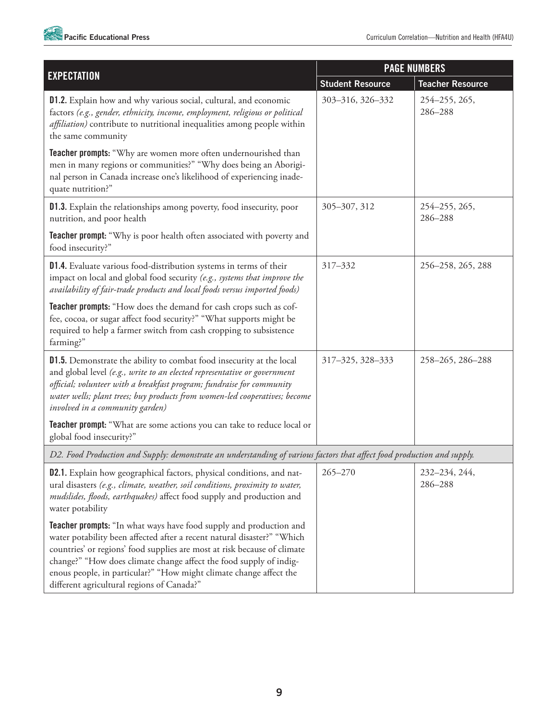

|                                                                                                                                                                                                                                                                                                                                                                                                                            | <b>PAGE NUMBERS</b>     |                          |
|----------------------------------------------------------------------------------------------------------------------------------------------------------------------------------------------------------------------------------------------------------------------------------------------------------------------------------------------------------------------------------------------------------------------------|-------------------------|--------------------------|
| <b>EXPECTATION</b>                                                                                                                                                                                                                                                                                                                                                                                                         | <b>Student Resource</b> | <b>Teacher Resource</b>  |
| <b>D1.2.</b> Explain how and why various social, cultural, and economic<br>factors (e.g., gender, ethnicity, income, employment, religious or political<br>affiliation) contribute to nutritional inequalities among people within<br>the same community                                                                                                                                                                   | 303-316, 326-332        | 254-255, 265,<br>286-288 |
| Teacher prompts: "Why are women more often undernourished than<br>men in many regions or communities?" "Why does being an Aborigi-<br>nal person in Canada increase one's likelihood of experiencing inade-<br>quate nutrition?"                                                                                                                                                                                           |                         |                          |
| <b>D1.3.</b> Explain the relationships among poverty, food insecurity, poor<br>nutrition, and poor health                                                                                                                                                                                                                                                                                                                  | 305-307, 312            | 254-255, 265,<br>286-288 |
| <b>Teacher prompt:</b> "Why is poor health often associated with poverty and<br>food insecurity?"                                                                                                                                                                                                                                                                                                                          |                         |                          |
| D1.4. Evaluate various food-distribution systems in terms of their<br>impact on local and global food security (e.g., systems that improve the<br>availability of fair-trade products and local foods versus imported foods)                                                                                                                                                                                               | 317-332                 | 256-258, 265, 288        |
| Teacher prompts: "How does the demand for cash crops such as cof-<br>fee, cocoa, or sugar affect food security?" "What supports might be<br>required to help a farmer switch from cash cropping to subsistence<br>farming?"                                                                                                                                                                                                |                         |                          |
| <b>D1.5.</b> Demonstrate the ability to combat food insecurity at the local<br>and global level (e.g., write to an elected representative or government<br>official; volunteer with a breakfast program; fundraise for community<br>water wells; plant trees; buy products from women-led cooperatives; become<br>involved in a community garden)                                                                          | 317-325, 328-333        | 258-265, 286-288         |
| Teacher prompt: "What are some actions you can take to reduce local or<br>global food insecurity?"                                                                                                                                                                                                                                                                                                                         |                         |                          |
| D2. Food Production and Supply: demonstrate an understanding of various factors that affect food production and supply.                                                                                                                                                                                                                                                                                                    |                         |                          |
| <b>D2.1.</b> Explain how geographical factors, physical conditions, and nat-<br>ural disasters (e.g., climate, weather, soil conditions, proximity to water,<br>mudslides, floods, earthquakes) affect food supply and production and<br>water potability                                                                                                                                                                  | $265 - 270$             | 232-234, 244,<br>286-288 |
| <b>Teacher prompts:</b> "In what ways have food supply and production and<br>water potability been affected after a recent natural disaster?" "Which<br>countries' or regions' food supplies are most at risk because of climate<br>change?" "How does climate change affect the food supply of indig-<br>enous people, in particular?" "How might climate change affect the<br>different agricultural regions of Canada?" |                         |                          |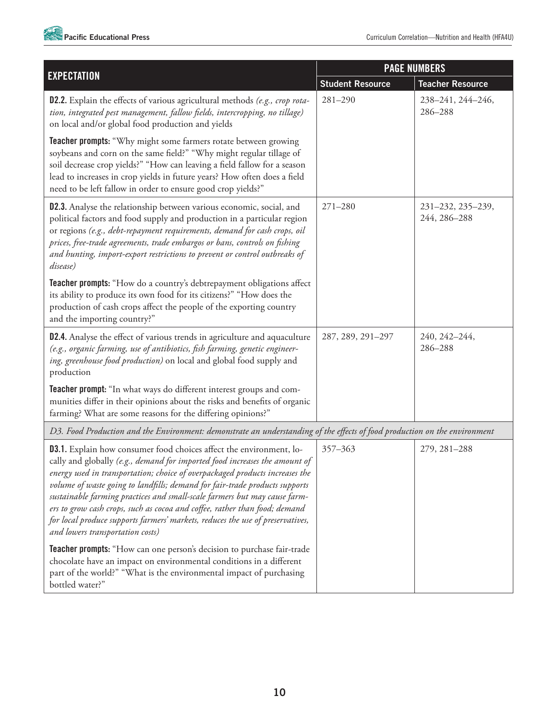

|                                                                                                                                                                                                                                                                                                                                                                                                                                                                                                                                                                                                          | <b>PAGE NUMBERS</b>     |                                   |
|----------------------------------------------------------------------------------------------------------------------------------------------------------------------------------------------------------------------------------------------------------------------------------------------------------------------------------------------------------------------------------------------------------------------------------------------------------------------------------------------------------------------------------------------------------------------------------------------------------|-------------------------|-----------------------------------|
| <b>EXPECTATION</b>                                                                                                                                                                                                                                                                                                                                                                                                                                                                                                                                                                                       | <b>Student Resource</b> | <b>Teacher Resource</b>           |
| D2.2. Explain the effects of various agricultural methods (e.g., crop rota-<br>tion, integrated pest management, fallow fields, intercropping, no tillage)<br>on local and/or global food production and yields                                                                                                                                                                                                                                                                                                                                                                                          | $281 - 290$             | 238-241, 244-246,<br>286-288      |
| <b>Teacher prompts:</b> "Why might some farmers rotate between growing<br>soybeans and corn on the same field?" "Why might regular tillage of<br>soil decrease crop yields?" "How can leaving a field fallow for a season<br>lead to increases in crop yields in future years? How often does a field<br>need to be left fallow in order to ensure good crop yields?"                                                                                                                                                                                                                                    |                         |                                   |
| <b>D2.3.</b> Analyse the relationship between various economic, social, and<br>political factors and food supply and production in a particular region<br>or regions (e.g., debt-repayment requirements, demand for cash crops, oil<br>prices, free-trade agreements, trade embargos or bans, controls on fishing<br>and hunting, import-export restrictions to prevent or control outbreaks of<br>disease)                                                                                                                                                                                              | $271 - 280$             | 231-232, 235-239,<br>244, 286-288 |
| Teacher prompts: "How do a country's debtrepayment obligations affect<br>its ability to produce its own food for its citizens?" "How does the<br>production of cash crops affect the people of the exporting country<br>and the importing country?"                                                                                                                                                                                                                                                                                                                                                      |                         |                                   |
| D2.4. Analyse the effect of various trends in agriculture and aquaculture<br>(e.g., organic farming, use of antibiotics, fish farming, genetic engineer-<br>ing, greenhouse food production) on local and global food supply and<br>production                                                                                                                                                                                                                                                                                                                                                           | 287, 289, 291-297       | 240, 242-244,<br>286-288          |
| Teacher prompt: "In what ways do different interest groups and com-<br>munities differ in their opinions about the risks and benefits of organic<br>farming? What are some reasons for the differing opinions?"                                                                                                                                                                                                                                                                                                                                                                                          |                         |                                   |
| D3. Food Production and the Environment: demonstrate an understanding of the effects of food production on the environment                                                                                                                                                                                                                                                                                                                                                                                                                                                                               |                         |                                   |
| <b>D3.1.</b> Explain how consumer food choices affect the environment, lo-<br>cally and globally (e.g., demand for imported food increases the amount of<br>energy used in transportation; choice of overpackaged products increases the<br>volume of waste going to landfills; demand for fair-trade products supports<br>sustainable farming practices and small-scale farmers but may cause farm-<br>ers to grow cash crops, such as cocoa and coffee, rather than food; demand<br>for local produce supports farmers' markets, reduces the use of preservatives,<br>and lowers transportation costs) | 357-363                 | 279, 281-288                      |
| Teacher prompts: "How can one person's decision to purchase fair-trade<br>chocolate have an impact on environmental conditions in a different<br>part of the world?" "What is the environmental impact of purchasing<br>bottled water?"                                                                                                                                                                                                                                                                                                                                                                  |                         |                                   |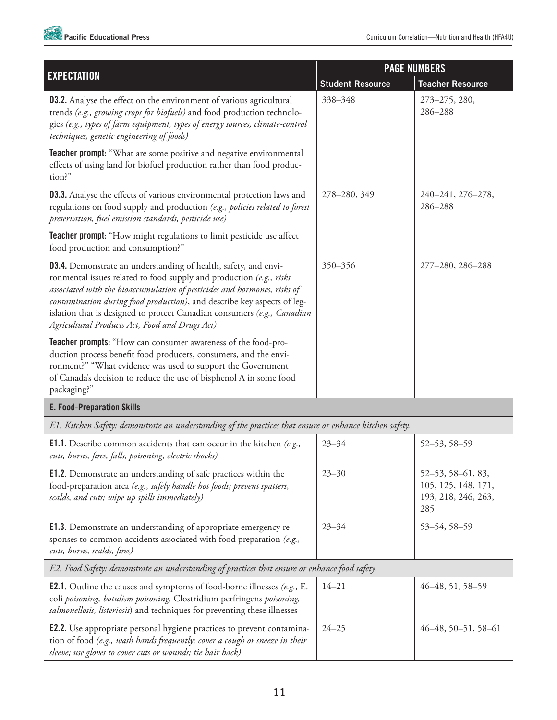

|                                                                                                                                                                                                                                                                                                                                                                                                                                   | <b>PAGE NUMBERS</b>     |                                                                        |
|-----------------------------------------------------------------------------------------------------------------------------------------------------------------------------------------------------------------------------------------------------------------------------------------------------------------------------------------------------------------------------------------------------------------------------------|-------------------------|------------------------------------------------------------------------|
| <b>EXPECTATION</b>                                                                                                                                                                                                                                                                                                                                                                                                                | <b>Student Resource</b> | <b>Teacher Resource</b>                                                |
| <b>D3.2.</b> Analyse the effect on the environment of various agricultural<br>trends (e.g., growing crops for biofuels) and food production technolo-<br>gies (e.g., types of farm equipment, types of energy sources, climate-control<br>techniques, genetic engineering of foods)                                                                                                                                               | 338-348                 | 273-275, 280,<br>286-288                                               |
| <b>Teacher prompt:</b> "What are some positive and negative environmental<br>effects of using land for biofuel production rather than food produc-<br>tion?"                                                                                                                                                                                                                                                                      |                         |                                                                        |
| <b>D3.3.</b> Analyse the effects of various environmental protection laws and<br>regulations on food supply and production (e.g., policies related to forest<br>preservation, fuel emission standards, pesticide use)                                                                                                                                                                                                             | 278-280, 349            | 240-241, 276-278,<br>286-288                                           |
| Teacher prompt: "How might regulations to limit pesticide use affect<br>food production and consumption?"                                                                                                                                                                                                                                                                                                                         |                         |                                                                        |
| <b>D3.4.</b> Demonstrate an understanding of health, safety, and envi-<br>ronmental issues related to food supply and production (e.g., risks<br>associated with the bioaccumulation of pesticides and hormones, risks of<br>contamination during food production), and describe key aspects of leg-<br>islation that is designed to protect Canadian consumers (e.g., Canadian<br>Agricultural Products Act, Food and Drugs Act) | 350-356                 | 277-280, 286-288                                                       |
| Teacher prompts: "How can consumer awareness of the food-pro-<br>duction process benefit food producers, consumers, and the envi-<br>ronment?" "What evidence was used to support the Government<br>of Canada's decision to reduce the use of bisphenol A in some food<br>packaging?"                                                                                                                                             |                         |                                                                        |
| <b>E. Food-Preparation Skills</b>                                                                                                                                                                                                                                                                                                                                                                                                 |                         |                                                                        |
| E1. Kitchen Safety: demonstrate an understanding of the practices that ensure or enhance kitchen safety.                                                                                                                                                                                                                                                                                                                          |                         |                                                                        |
| <b>E1.1.</b> Describe common accidents that can occur in the kitchen (e.g.,<br>cuts, burns, fires, falls, poisoning, electric shocks)                                                                                                                                                                                                                                                                                             | $23 - 34$               | 52-53, 58-59                                                           |
| <b>E1.2.</b> Demonstrate an understanding of safe practices within the<br>food-preparation area (e.g., safely handle hot foods; prevent spatters,<br>scalds, and cuts; wipe up spills immediately)                                                                                                                                                                                                                                | $23 - 30$               | 52-53, 58-61, 83,<br>105, 125, 148, 171,<br>193, 218, 246, 263,<br>285 |
| <b>E1.3.</b> Demonstrate an understanding of appropriate emergency re-<br>sponses to common accidents associated with food preparation (e.g.,<br>cuts, burns, scalds, fires)                                                                                                                                                                                                                                                      | $23 - 34$               | 53-54, 58-59                                                           |
| E2. Food Safety: demonstrate an understanding of practices that ensure or enhance food safety.                                                                                                                                                                                                                                                                                                                                    |                         |                                                                        |
| <b>E2.1.</b> Outline the causes and symptoms of food-borne illnesses (e.g., E.<br>coli poisoning, botulism poisoning, Clostridium perfringens poisoning,<br>salmonellosis, listeriosis) and techniques for preventing these illnesses                                                                                                                                                                                             | $14 - 21$               | 46-48, 51, 58-59                                                       |
| <b>E2.2.</b> Use appropriate personal hygiene practices to prevent contamina-<br>tion of food (e.g., wash hands frequently; cover a cough or sneeze in their<br>sleeve; use gloves to cover cuts or wounds; tie hair back)                                                                                                                                                                                                        | $24 - 25$               | $46-48, 50-51, 58-61$                                                  |